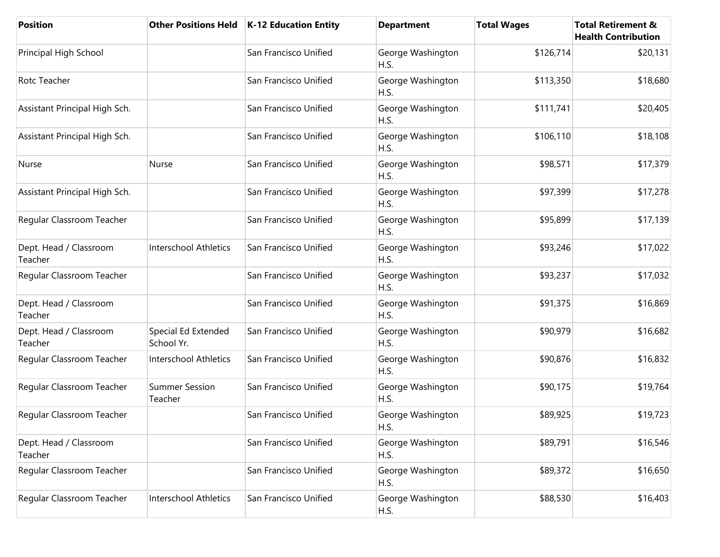| <b>Position</b>                   |                                   | Other Positions Held   K-12 Education Entity | <b>Department</b>         | <b>Total Wages</b> | <b>Total Retirement &amp;</b><br><b>Health Contribution</b> |
|-----------------------------------|-----------------------------------|----------------------------------------------|---------------------------|--------------------|-------------------------------------------------------------|
| Principal High School             |                                   | San Francisco Unified                        | George Washington<br>H.S. | \$126,714          | \$20,131                                                    |
| Rotc Teacher                      |                                   | San Francisco Unified                        | George Washington<br>H.S. | \$113,350          | \$18,680                                                    |
| Assistant Principal High Sch.     |                                   | San Francisco Unified                        | George Washington<br>H.S. | \$111,741          | \$20,405                                                    |
| Assistant Principal High Sch.     |                                   | San Francisco Unified                        | George Washington<br>H.S. | \$106,110          | \$18,108                                                    |
| Nurse                             | Nurse                             | San Francisco Unified                        | George Washington<br>H.S. | \$98,571           | \$17,379                                                    |
| Assistant Principal High Sch.     |                                   | San Francisco Unified                        | George Washington<br>H.S. | \$97,399           | \$17,278                                                    |
| Regular Classroom Teacher         |                                   | San Francisco Unified                        | George Washington<br>H.S. | \$95,899           | \$17,139                                                    |
| Dept. Head / Classroom<br>Teacher | <b>Interschool Athletics</b>      | San Francisco Unified                        | George Washington<br>H.S. | \$93,246           | \$17,022                                                    |
| Regular Classroom Teacher         |                                   | San Francisco Unified                        | George Washington<br>H.S. | \$93,237           | \$17,032                                                    |
| Dept. Head / Classroom<br>Teacher |                                   | San Francisco Unified                        | George Washington<br>H.S. | \$91,375           | \$16,869                                                    |
| Dept. Head / Classroom<br>Teacher | Special Ed Extended<br>School Yr. | San Francisco Unified                        | George Washington<br>H.S. | \$90,979           | \$16,682                                                    |
| Regular Classroom Teacher         | <b>Interschool Athletics</b>      | San Francisco Unified                        | George Washington<br>H.S. | \$90,876           | \$16,832                                                    |
| Regular Classroom Teacher         | <b>Summer Session</b><br>Teacher  | San Francisco Unified                        | George Washington<br>H.S. | \$90,175           | \$19,764                                                    |
| Regular Classroom Teacher         |                                   | San Francisco Unified                        | George Washington<br>H.S. | \$89,925           | \$19,723                                                    |
| Dept. Head / Classroom<br>Teacher |                                   | San Francisco Unified                        | George Washington<br>H.S. | \$89,791           | \$16,546                                                    |
| Regular Classroom Teacher         |                                   | San Francisco Unified                        | George Washington<br>H.S. | \$89,372           | \$16,650                                                    |
| Regular Classroom Teacher         | <b>Interschool Athletics</b>      | San Francisco Unified                        | George Washington<br>H.S. | \$88,530           | \$16,403                                                    |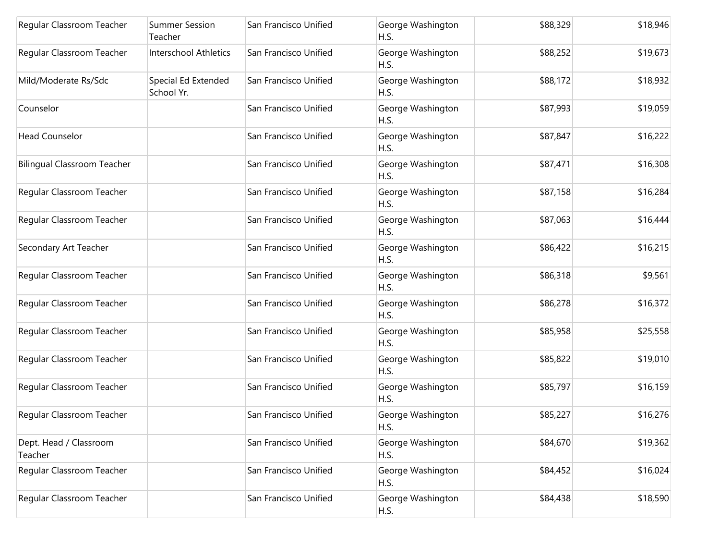| Regular Classroom Teacher          | <b>Summer Session</b><br>Teacher  | San Francisco Unified | George Washington<br>H.S. | \$88,329 | \$18,946 |
|------------------------------------|-----------------------------------|-----------------------|---------------------------|----------|----------|
| Regular Classroom Teacher          | <b>Interschool Athletics</b>      | San Francisco Unified | George Washington<br>H.S. | \$88,252 | \$19,673 |
| Mild/Moderate Rs/Sdc               | Special Ed Extended<br>School Yr. | San Francisco Unified | George Washington<br>H.S. | \$88,172 | \$18,932 |
| Counselor                          |                                   | San Francisco Unified | George Washington<br>H.S. | \$87,993 | \$19,059 |
| <b>Head Counselor</b>              |                                   | San Francisco Unified | George Washington<br>H.S. | \$87,847 | \$16,222 |
| <b>Bilingual Classroom Teacher</b> |                                   | San Francisco Unified | George Washington<br>H.S. | \$87,471 | \$16,308 |
| Regular Classroom Teacher          |                                   | San Francisco Unified | George Washington<br>H.S. | \$87,158 | \$16,284 |
| Regular Classroom Teacher          |                                   | San Francisco Unified | George Washington<br>H.S. | \$87,063 | \$16,444 |
| Secondary Art Teacher              |                                   | San Francisco Unified | George Washington<br>H.S. | \$86,422 | \$16,215 |
| Regular Classroom Teacher          |                                   | San Francisco Unified | George Washington<br>H.S. | \$86,318 | \$9,561  |
| Regular Classroom Teacher          |                                   | San Francisco Unified | George Washington<br>H.S. | \$86,278 | \$16,372 |
| Regular Classroom Teacher          |                                   | San Francisco Unified | George Washington<br>H.S. | \$85,958 | \$25,558 |
| Regular Classroom Teacher          |                                   | San Francisco Unified | George Washington<br>H.S. | \$85,822 | \$19,010 |
| Regular Classroom Teacher          |                                   | San Francisco Unified | George Washington<br>H.S. | \$85,797 | \$16,159 |
| Regular Classroom Teacher          |                                   | San Francisco Unified | George Washington<br>H.S. | \$85,227 | \$16,276 |
| Dept. Head / Classroom<br>Teacher  |                                   | San Francisco Unified | George Washington<br>H.S. | \$84,670 | \$19,362 |
| Regular Classroom Teacher          |                                   | San Francisco Unified | George Washington<br>H.S. | \$84,452 | \$16,024 |
| Regular Classroom Teacher          |                                   | San Francisco Unified | George Washington<br>H.S. | \$84,438 | \$18,590 |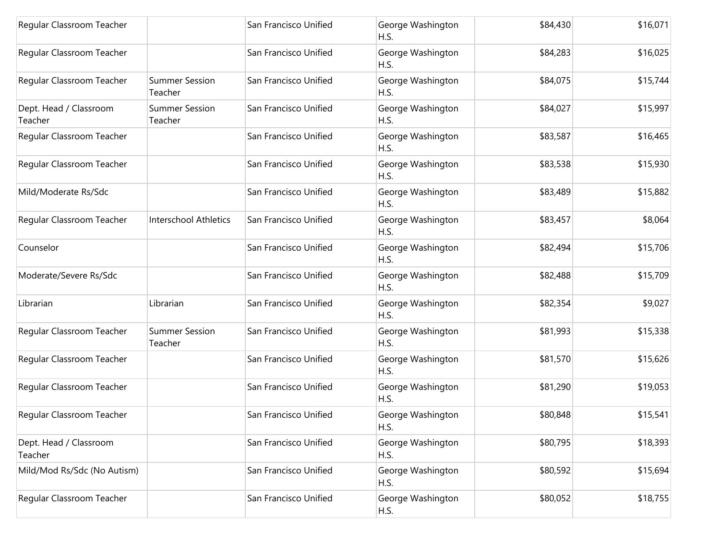| Regular Classroom Teacher         |                                  | San Francisco Unified | George Washington<br>H.S. | \$84,430 | \$16,071 |
|-----------------------------------|----------------------------------|-----------------------|---------------------------|----------|----------|
| Regular Classroom Teacher         |                                  | San Francisco Unified | George Washington<br>H.S. | \$84,283 | \$16,025 |
| Regular Classroom Teacher         | <b>Summer Session</b><br>Teacher | San Francisco Unified | George Washington<br>H.S. | \$84,075 | \$15,744 |
| Dept. Head / Classroom<br>Teacher | <b>Summer Session</b><br>Teacher | San Francisco Unified | George Washington<br>H.S. | \$84,027 | \$15,997 |
| Regular Classroom Teacher         |                                  | San Francisco Unified | George Washington<br>H.S. | \$83,587 | \$16,465 |
| Regular Classroom Teacher         |                                  | San Francisco Unified | George Washington<br>H.S. | \$83,538 | \$15,930 |
| Mild/Moderate Rs/Sdc              |                                  | San Francisco Unified | George Washington<br>H.S. | \$83,489 | \$15,882 |
| Regular Classroom Teacher         | <b>Interschool Athletics</b>     | San Francisco Unified | George Washington<br>H.S. | \$83,457 | \$8,064  |
| Counselor                         |                                  | San Francisco Unified | George Washington<br>H.S. | \$82,494 | \$15,706 |
| Moderate/Severe Rs/Sdc            |                                  | San Francisco Unified | George Washington<br>H.S. | \$82,488 | \$15,709 |
| Librarian                         | Librarian                        | San Francisco Unified | George Washington<br>H.S. | \$82,354 | \$9,027  |
| Regular Classroom Teacher         | <b>Summer Session</b><br>Teacher | San Francisco Unified | George Washington<br>H.S. | \$81,993 | \$15,338 |
| Regular Classroom Teacher         |                                  | San Francisco Unified | George Washington<br>H.S. | \$81,570 | \$15,626 |
| Regular Classroom Teacher         |                                  | San Francisco Unified | George Washington<br>H.S. | \$81,290 | \$19,053 |
| Regular Classroom Teacher         |                                  | San Francisco Unified | George Washington<br>H.S. | \$80,848 | \$15,541 |
| Dept. Head / Classroom<br>Teacher |                                  | San Francisco Unified | George Washington<br>H.S. | \$80,795 | \$18,393 |
| Mild/Mod Rs/Sdc (No Autism)       |                                  | San Francisco Unified | George Washington<br>H.S. | \$80,592 | \$15,694 |
| Regular Classroom Teacher         |                                  | San Francisco Unified | George Washington<br>H.S. | \$80,052 | \$18,755 |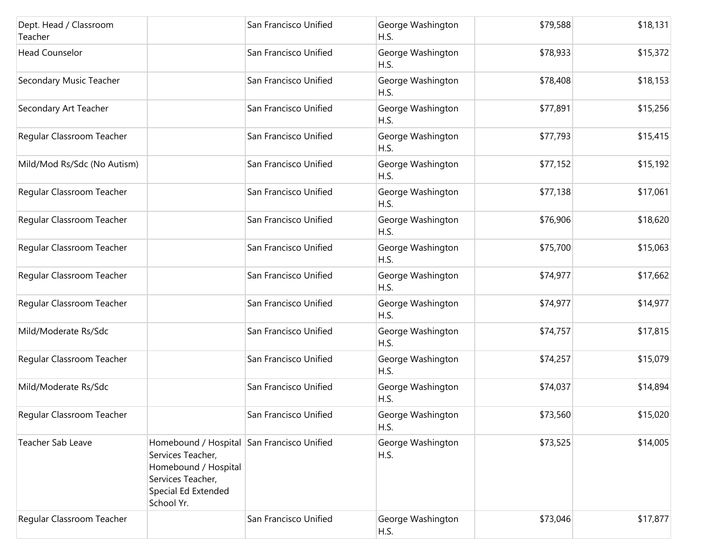| Dept. Head / Classroom<br>Teacher |                                                                                                                                                   | San Francisco Unified | George Washington<br>H.S. | \$79,588 | \$18,131 |
|-----------------------------------|---------------------------------------------------------------------------------------------------------------------------------------------------|-----------------------|---------------------------|----------|----------|
| <b>Head Counselor</b>             |                                                                                                                                                   | San Francisco Unified | George Washington<br>H.S. | \$78,933 | \$15,372 |
| Secondary Music Teacher           |                                                                                                                                                   | San Francisco Unified | George Washington<br>H.S. | \$78,408 | \$18,153 |
| Secondary Art Teacher             |                                                                                                                                                   | San Francisco Unified | George Washington<br>H.S. | \$77,891 | \$15,256 |
| Regular Classroom Teacher         |                                                                                                                                                   | San Francisco Unified | George Washington<br>H.S. | \$77,793 | \$15,415 |
| Mild/Mod Rs/Sdc (No Autism)       |                                                                                                                                                   | San Francisco Unified | George Washington<br>H.S. | \$77,152 | \$15,192 |
| Regular Classroom Teacher         |                                                                                                                                                   | San Francisco Unified | George Washington<br>H.S. | \$77,138 | \$17,061 |
| Regular Classroom Teacher         |                                                                                                                                                   | San Francisco Unified | George Washington<br>H.S. | \$76,906 | \$18,620 |
| Regular Classroom Teacher         |                                                                                                                                                   | San Francisco Unified | George Washington<br>H.S. | \$75,700 | \$15,063 |
| Regular Classroom Teacher         |                                                                                                                                                   | San Francisco Unified | George Washington<br>H.S. | \$74,977 | \$17,662 |
| Regular Classroom Teacher         |                                                                                                                                                   | San Francisco Unified | George Washington<br>H.S. | \$74,977 | \$14,977 |
| Mild/Moderate Rs/Sdc              |                                                                                                                                                   | San Francisco Unified | George Washington<br>H.S. | \$74,757 | \$17,815 |
| Regular Classroom Teacher         |                                                                                                                                                   | San Francisco Unified | George Washington<br>H.S. | \$74,257 | \$15,079 |
| Mild/Moderate Rs/Sdc              |                                                                                                                                                   | San Francisco Unified | George Washington<br>H.S. | \$74,037 | \$14,894 |
| Regular Classroom Teacher         |                                                                                                                                                   | San Francisco Unified | George Washington<br>H.S. | \$73,560 | \$15,020 |
| Teacher Sab Leave                 | Homebound / Hospital San Francisco Unified<br>Services Teacher,<br>Homebound / Hospital<br>Services Teacher,<br>Special Ed Extended<br>School Yr. |                       | George Washington<br>H.S. | \$73,525 | \$14,005 |
| Regular Classroom Teacher         |                                                                                                                                                   | San Francisco Unified | George Washington<br>H.S. | \$73,046 | \$17,877 |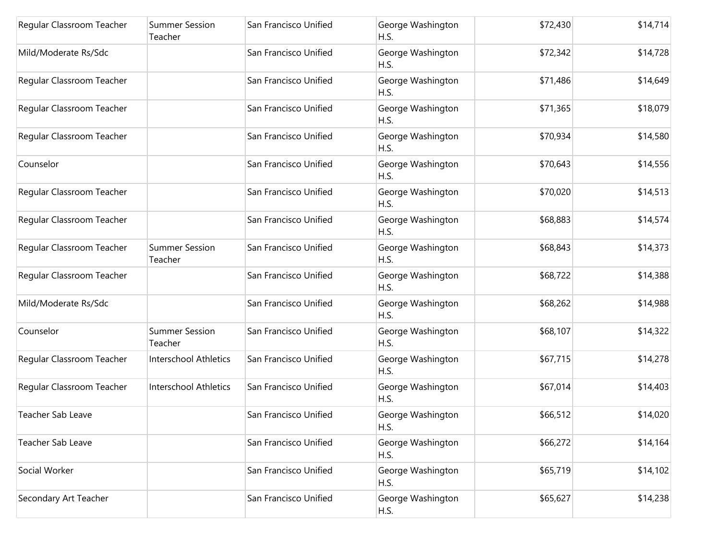| Regular Classroom Teacher | <b>Summer Session</b><br>Teacher | San Francisco Unified | George Washington<br>H.S. | \$72,430 | \$14,714 |
|---------------------------|----------------------------------|-----------------------|---------------------------|----------|----------|
| Mild/Moderate Rs/Sdc      |                                  | San Francisco Unified | George Washington<br>H.S. | \$72,342 | \$14,728 |
| Regular Classroom Teacher |                                  | San Francisco Unified | George Washington<br>H.S. | \$71,486 | \$14,649 |
| Regular Classroom Teacher |                                  | San Francisco Unified | George Washington<br>H.S. | \$71,365 | \$18,079 |
| Regular Classroom Teacher |                                  | San Francisco Unified | George Washington<br>H.S. | \$70,934 | \$14,580 |
| Counselor                 |                                  | San Francisco Unified | George Washington<br>H.S. | \$70,643 | \$14,556 |
| Regular Classroom Teacher |                                  | San Francisco Unified | George Washington<br>H.S. | \$70,020 | \$14,513 |
| Regular Classroom Teacher |                                  | San Francisco Unified | George Washington<br>H.S. | \$68,883 | \$14,574 |
| Regular Classroom Teacher | <b>Summer Session</b><br>Teacher | San Francisco Unified | George Washington<br>H.S. | \$68,843 | \$14,373 |
| Regular Classroom Teacher |                                  | San Francisco Unified | George Washington<br>H.S. | \$68,722 | \$14,388 |
| Mild/Moderate Rs/Sdc      |                                  | San Francisco Unified | George Washington<br>H.S. | \$68,262 | \$14,988 |
| Counselor                 | <b>Summer Session</b><br>Teacher | San Francisco Unified | George Washington<br>H.S. | \$68,107 | \$14,322 |
| Regular Classroom Teacher | Interschool Athletics            | San Francisco Unified | George Washington<br>H.S. | \$67,715 | \$14,278 |
| Regular Classroom Teacher | <b>Interschool Athletics</b>     | San Francisco Unified | George Washington<br>H.S. | \$67,014 | \$14,403 |
| Teacher Sab Leave         |                                  | San Francisco Unified | George Washington<br>H.S. | \$66,512 | \$14,020 |
| Teacher Sab Leave         |                                  | San Francisco Unified | George Washington<br>H.S. | \$66,272 | \$14,164 |
| Social Worker             |                                  | San Francisco Unified | George Washington<br>H.S. | \$65,719 | \$14,102 |
| Secondary Art Teacher     |                                  | San Francisco Unified | George Washington<br>H.S. | \$65,627 | \$14,238 |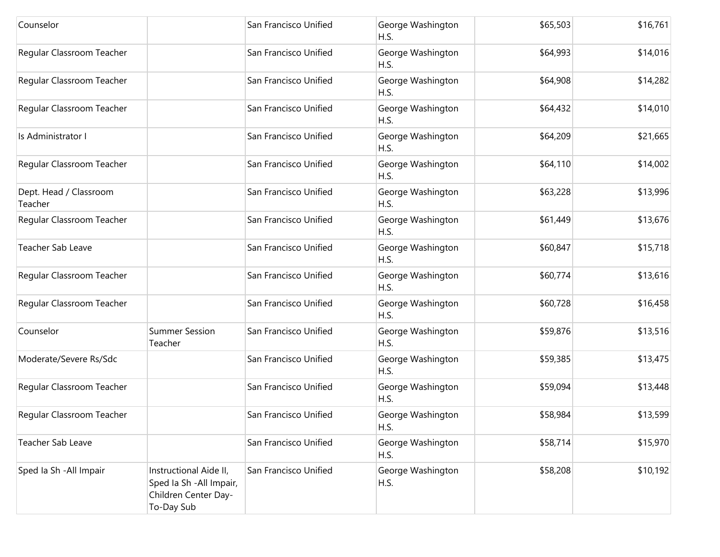| Counselor                         |                                                                                          | San Francisco Unified | George Washington<br>H.S. | \$65,503 | \$16,761 |
|-----------------------------------|------------------------------------------------------------------------------------------|-----------------------|---------------------------|----------|----------|
| Regular Classroom Teacher         |                                                                                          | San Francisco Unified | George Washington<br>H.S. | \$64,993 | \$14,016 |
| Regular Classroom Teacher         |                                                                                          | San Francisco Unified | George Washington<br>H.S. | \$64,908 | \$14,282 |
| Regular Classroom Teacher         |                                                                                          | San Francisco Unified | George Washington<br>H.S. | \$64,432 | \$14,010 |
| Is Administrator I                |                                                                                          | San Francisco Unified | George Washington<br>H.S. | \$64,209 | \$21,665 |
| Regular Classroom Teacher         |                                                                                          | San Francisco Unified | George Washington<br>H.S. | \$64,110 | \$14,002 |
| Dept. Head / Classroom<br>Teacher |                                                                                          | San Francisco Unified | George Washington<br>H.S. | \$63,228 | \$13,996 |
| Regular Classroom Teacher         |                                                                                          | San Francisco Unified | George Washington<br>H.S. | \$61,449 | \$13,676 |
| Teacher Sab Leave                 |                                                                                          | San Francisco Unified | George Washington<br>H.S. | \$60,847 | \$15,718 |
| Regular Classroom Teacher         |                                                                                          | San Francisco Unified | George Washington<br>H.S. | \$60,774 | \$13,616 |
| Regular Classroom Teacher         |                                                                                          | San Francisco Unified | George Washington<br>H.S. | \$60,728 | \$16,458 |
| Counselor                         | <b>Summer Session</b><br>Teacher                                                         | San Francisco Unified | George Washington<br>H.S. | \$59,876 | \$13,516 |
| Moderate/Severe Rs/Sdc            |                                                                                          | San Francisco Unified | George Washington<br>H.S. | \$59,385 | \$13,475 |
| Regular Classroom Teacher         |                                                                                          | San Francisco Unified | George Washington<br>H.S. | \$59,094 | \$13,448 |
| Regular Classroom Teacher         |                                                                                          | San Francisco Unified | George Washington<br>H.S. | \$58,984 | \$13,599 |
| Teacher Sab Leave                 |                                                                                          | San Francisco Unified | George Washington<br>H.S. | \$58,714 | \$15,970 |
| Sped Ia Sh - All Impair           | Instructional Aide II,<br>Sped Ia Sh - All Impair,<br>Children Center Day-<br>To-Day Sub | San Francisco Unified | George Washington<br>H.S. | \$58,208 | \$10,192 |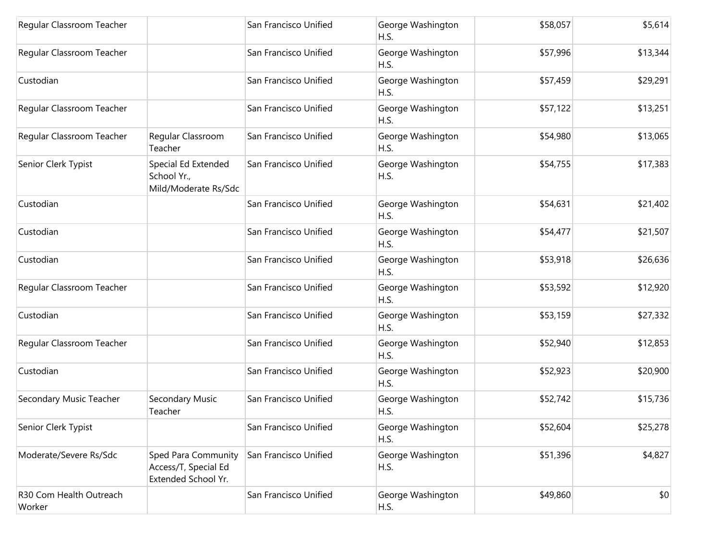| Regular Classroom Teacher         |                                                                           | San Francisco Unified | George Washington<br>H.S. | \$58,057 | \$5,614  |
|-----------------------------------|---------------------------------------------------------------------------|-----------------------|---------------------------|----------|----------|
| Regular Classroom Teacher         |                                                                           | San Francisco Unified | George Washington<br>H.S. | \$57,996 | \$13,344 |
| Custodian                         |                                                                           | San Francisco Unified | George Washington<br>H.S. | \$57,459 | \$29,291 |
| Regular Classroom Teacher         |                                                                           | San Francisco Unified | George Washington<br>H.S. | \$57,122 | \$13,251 |
| Regular Classroom Teacher         | Regular Classroom<br>Teacher                                              | San Francisco Unified | George Washington<br>H.S. | \$54,980 | \$13,065 |
| Senior Clerk Typist               | Special Ed Extended<br>School Yr.,<br>Mild/Moderate Rs/Sdc                | San Francisco Unified | George Washington<br>H.S. | \$54,755 | \$17,383 |
| Custodian                         |                                                                           | San Francisco Unified | George Washington<br>H.S. | \$54,631 | \$21,402 |
| Custodian                         |                                                                           | San Francisco Unified | George Washington<br>H.S. | \$54,477 | \$21,507 |
| Custodian                         |                                                                           | San Francisco Unified | George Washington<br>H.S. | \$53,918 | \$26,636 |
| Regular Classroom Teacher         |                                                                           | San Francisco Unified | George Washington<br>H.S. | \$53,592 | \$12,920 |
| Custodian                         |                                                                           | San Francisco Unified | George Washington<br>H.S. | \$53,159 | \$27,332 |
| Regular Classroom Teacher         |                                                                           | San Francisco Unified | George Washington<br>H.S. | \$52,940 | \$12,853 |
| Custodian                         |                                                                           | San Francisco Unified | George Washington<br>H.S. | \$52,923 | \$20,900 |
| Secondary Music Teacher           | Secondary Music<br>Teacher                                                | San Francisco Unified | George Washington<br>H.S. | \$52,742 | \$15,736 |
| Senior Clerk Typist               |                                                                           | San Francisco Unified | George Washington<br>H.S. | \$52,604 | \$25,278 |
| Moderate/Severe Rs/Sdc            | <b>Sped Para Community</b><br>Access/T, Special Ed<br>Extended School Yr. | San Francisco Unified | George Washington<br>H.S. | \$51,396 | \$4,827  |
| R30 Com Health Outreach<br>Worker |                                                                           | San Francisco Unified | George Washington<br>H.S. | \$49,860 | \$0      |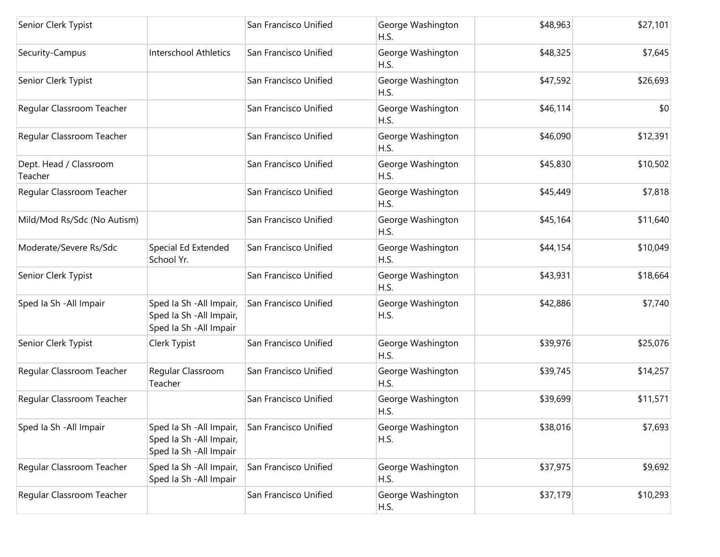| Senior Clerk Typist               |                                                                                 | San Francisco Unified | George Washington<br>H.S. | \$48,963 | \$27,101 |
|-----------------------------------|---------------------------------------------------------------------------------|-----------------------|---------------------------|----------|----------|
| Security-Campus                   | <b>Interschool Athletics</b>                                                    | San Francisco Unified | George Washington<br>H.S. | \$48,325 | \$7,645  |
| Senior Clerk Typist               |                                                                                 | San Francisco Unified | George Washington<br>H.S. | \$47,592 | \$26,693 |
| Regular Classroom Teacher         |                                                                                 | San Francisco Unified | George Washington<br>H.S. | \$46,114 | \$0      |
| Regular Classroom Teacher         |                                                                                 | San Francisco Unified | George Washington<br>H.S. | \$46,090 | \$12,391 |
| Dept. Head / Classroom<br>Teacher |                                                                                 | San Francisco Unified | George Washington<br>H.S. | \$45,830 | \$10,502 |
| Regular Classroom Teacher         |                                                                                 | San Francisco Unified | George Washington<br>H.S. | \$45,449 | \$7,818  |
| Mild/Mod Rs/Sdc (No Autism)       |                                                                                 | San Francisco Unified | George Washington<br>H.S. | \$45,164 | \$11,640 |
| Moderate/Severe Rs/Sdc            | Special Ed Extended<br>School Yr.                                               | San Francisco Unified | George Washington<br>H.S. | \$44,154 | \$10,049 |
| Senior Clerk Typist               |                                                                                 | San Francisco Unified | George Washington<br>H.S. | \$43,931 | \$18,664 |
| Sped Ia Sh - All Impair           | Sped Ia Sh - All Impair,<br>Sped Ia Sh - All Impair,<br>Sped Ia Sh - All Impair | San Francisco Unified | George Washington<br>H.S. | \$42,886 | \$7,740  |
| Senior Clerk Typist               | Clerk Typist                                                                    | San Francisco Unified | George Washington<br>H.S. | \$39,976 | \$25,076 |
| Regular Classroom Teacher         | Regular Classroom<br>Teacher                                                    | San Francisco Unified | George Washington<br>H.S. | \$39,745 | \$14,257 |
| Regular Classroom Teacher         |                                                                                 | San Francisco Unified | George Washington<br>H.S. | \$39,699 | \$11,571 |
| Sped Ia Sh - All Impair           | Sped Ia Sh - All Impair,<br>Sped Ia Sh - All Impair,<br>Sped Ia Sh - All Impair | San Francisco Unified | George Washington<br>H.S. | \$38,016 | \$7,693  |
| Regular Classroom Teacher         | Sped Ia Sh - All Impair,<br>Sped la Sh - All Impair                             | San Francisco Unified | George Washington<br>H.S. | \$37,975 | \$9,692  |
| Regular Classroom Teacher         |                                                                                 | San Francisco Unified | George Washington<br>H.S. | \$37,179 | \$10,293 |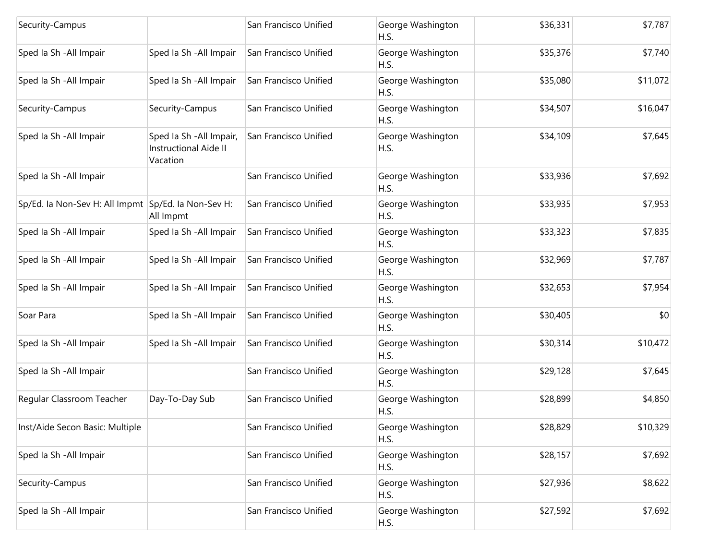| Security-Campus                 |                                                               | San Francisco Unified | George Washington<br>H.S. | \$36,331 | \$7,787  |
|---------------------------------|---------------------------------------------------------------|-----------------------|---------------------------|----------|----------|
| Sped Ia Sh - All Impair         | Sped Ia Sh - All Impair                                       | San Francisco Unified | George Washington<br>H.S. | \$35,376 | \$7,740  |
| Sped Ia Sh - All Impair         | Sped Ia Sh - All Impair                                       | San Francisco Unified | George Washington<br>H.S. | \$35,080 | \$11,072 |
| Security-Campus                 | Security-Campus                                               | San Francisco Unified | George Washington<br>H.S. | \$34,507 | \$16,047 |
| Sped Ia Sh - All Impair         | Sped Ia Sh - All Impair,<br>Instructional Aide II<br>Vacation | San Francisco Unified | George Washington<br>H.S. | \$34,109 | \$7,645  |
| Sped Ia Sh - All Impair         |                                                               | San Francisco Unified | George Washington<br>H.S. | \$33,936 | \$7,692  |
| Sp/Ed. la Non-Sev H: All Impmt  | Sp/Ed. la Non-Sev H:<br>All Impmt                             | San Francisco Unified | George Washington<br>H.S. | \$33,935 | \$7,953  |
| Sped la Sh - All Impair         | Sped Ia Sh - All Impair                                       | San Francisco Unified | George Washington<br>H.S. | \$33,323 | \$7,835  |
| Sped Ia Sh - All Impair         | Sped Ia Sh - All Impair                                       | San Francisco Unified | George Washington<br>H.S. | \$32,969 | \$7,787  |
| Sped Ia Sh - All Impair         | Sped Ia Sh - All Impair                                       | San Francisco Unified | George Washington<br>H.S. | \$32,653 | \$7,954  |
| Soar Para                       | Sped Ia Sh - All Impair                                       | San Francisco Unified | George Washington<br>H.S. | \$30,405 | \$0      |
| Sped la Sh - All Impair         | Sped Ia Sh - All Impair                                       | San Francisco Unified | George Washington<br>H.S. | \$30,314 | \$10,472 |
| Sped Ia Sh - All Impair         |                                                               | San Francisco Unified | George Washington<br>H.S. | \$29,128 | \$7,645  |
| Regular Classroom Teacher       | Day-To-Day Sub                                                | San Francisco Unified | George Washington<br>H.S. | \$28,899 | \$4,850  |
| Inst/Aide Secon Basic: Multiple |                                                               | San Francisco Unified | George Washington<br>H.S. | \$28,829 | \$10,329 |
| Sped Ia Sh - All Impair         |                                                               | San Francisco Unified | George Washington<br>H.S. | \$28,157 | \$7,692  |
| Security-Campus                 |                                                               | San Francisco Unified | George Washington<br>H.S. | \$27,936 | \$8,622  |
| Sped Ia Sh - All Impair         |                                                               | San Francisco Unified | George Washington<br>H.S. | \$27,592 | \$7,692  |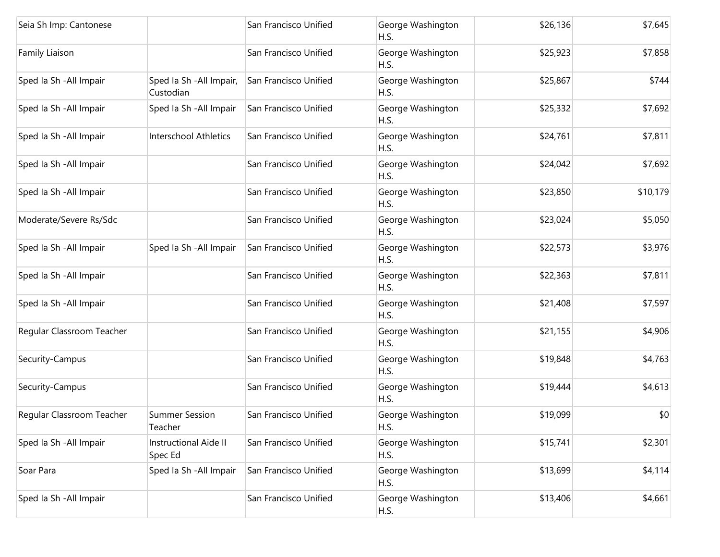| Seia Sh Imp: Cantonese    |                                       | San Francisco Unified | George Washington<br>H.S. | \$26,136 | \$7,645  |
|---------------------------|---------------------------------------|-----------------------|---------------------------|----------|----------|
| Family Liaison            |                                       | San Francisco Unified | George Washington<br>H.S. | \$25,923 | \$7,858  |
| Sped la Sh - All Impair   | Sped Ia Sh - All Impair,<br>Custodian | San Francisco Unified | George Washington<br>H.S. | \$25,867 | \$744    |
| Sped Ia Sh - All Impair   | Sped Ia Sh - All Impair               | San Francisco Unified | George Washington<br>H.S. | \$25,332 | \$7,692  |
| Sped Ia Sh - All Impair   | Interschool Athletics                 | San Francisco Unified | George Washington<br>H.S. | \$24,761 | \$7,811  |
| Sped Ia Sh - All Impair   |                                       | San Francisco Unified | George Washington<br>H.S. | \$24,042 | \$7,692  |
| Sped Ia Sh - All Impair   |                                       | San Francisco Unified | George Washington<br>H.S. | \$23,850 | \$10,179 |
| Moderate/Severe Rs/Sdc    |                                       | San Francisco Unified | George Washington<br>H.S. | \$23,024 | \$5,050  |
| Sped Ia Sh - All Impair   | Sped Ia Sh - All Impair               | San Francisco Unified | George Washington<br>H.S. | \$22,573 | \$3,976  |
| Sped Ia Sh - All Impair   |                                       | San Francisco Unified | George Washington<br>H.S. | \$22,363 | \$7,811  |
| Sped Ia Sh - All Impair   |                                       | San Francisco Unified | George Washington<br>H.S. | \$21,408 | \$7,597  |
| Regular Classroom Teacher |                                       | San Francisco Unified | George Washington<br>H.S. | \$21,155 | \$4,906  |
| Security-Campus           |                                       | San Francisco Unified | George Washington<br>H.S. | \$19,848 | \$4,763  |
| Security-Campus           |                                       | San Francisco Unified | George Washington<br>H.S. | \$19,444 | \$4,613  |
| Regular Classroom Teacher | <b>Summer Session</b><br>Teacher      | San Francisco Unified | George Washington<br>H.S. | \$19,099 | \$0      |
| Sped Ia Sh - All Impair   | Instructional Aide II<br>Spec Ed      | San Francisco Unified | George Washington<br>H.S. | \$15,741 | \$2,301  |
| Soar Para                 | Sped Ia Sh - All Impair               | San Francisco Unified | George Washington<br>H.S. | \$13,699 | \$4,114  |
| Sped Ia Sh - All Impair   |                                       | San Francisco Unified | George Washington<br>H.S. | \$13,406 | \$4,661  |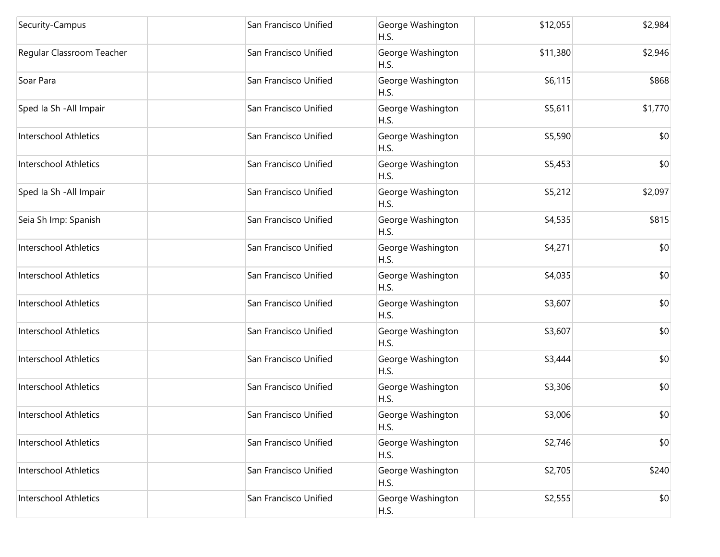| Security-Campus              | San Francisco Unified | George Washington<br>H.S. | \$12,055 | \$2,984 |
|------------------------------|-----------------------|---------------------------|----------|---------|
| Regular Classroom Teacher    | San Francisco Unified | George Washington<br>H.S. | \$11,380 | \$2,946 |
| Soar Para                    | San Francisco Unified | George Washington<br>H.S. | \$6,115  | \$868   |
| Sped Ia Sh - All Impair      | San Francisco Unified | George Washington<br>H.S. | \$5,611  | \$1,770 |
| <b>Interschool Athletics</b> | San Francisco Unified | George Washington<br>H.S. | \$5,590  | \$0     |
| <b>Interschool Athletics</b> | San Francisco Unified | George Washington<br>H.S. | \$5,453  | \$0     |
| Sped Ia Sh - All Impair      | San Francisco Unified | George Washington<br>H.S. | \$5,212  | \$2,097 |
| Seia Sh Imp: Spanish         | San Francisco Unified | George Washington<br>H.S. | \$4,535  | \$815   |
| <b>Interschool Athletics</b> | San Francisco Unified | George Washington<br>H.S. | \$4,271  | \$0     |
| <b>Interschool Athletics</b> | San Francisco Unified | George Washington<br>H.S. | \$4,035  | \$0     |
| Interschool Athletics        | San Francisco Unified | George Washington<br>H.S. | \$3,607  | \$0     |
| <b>Interschool Athletics</b> | San Francisco Unified | George Washington<br>H.S. | \$3,607  | \$0     |
| <b>Interschool Athletics</b> | San Francisco Unified | George Washington<br>H.S. | \$3,444  | \$0     |
| Interschool Athletics        | San Francisco Unified | George Washington<br>H.S. | \$3,306  | \$0     |
| <b>Interschool Athletics</b> | San Francisco Unified | George Washington<br>H.S. | \$3,006  | \$0     |
| <b>Interschool Athletics</b> | San Francisco Unified | George Washington<br>H.S. | \$2,746  | \$0     |
| <b>Interschool Athletics</b> | San Francisco Unified | George Washington<br>H.S. | \$2,705  | \$240   |
| <b>Interschool Athletics</b> | San Francisco Unified | George Washington<br>H.S. | \$2,555  | \$0     |